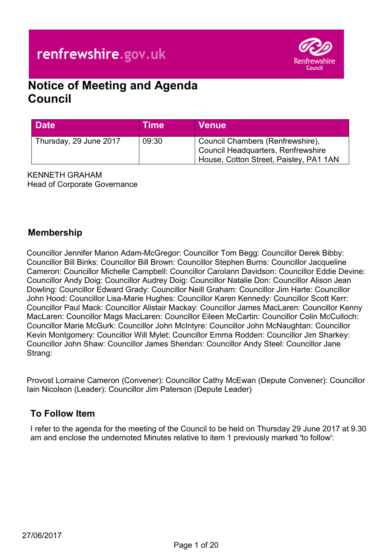

# **Notice of Meeting and Agenda Council**

| <b>Date</b>            | Time  | <b>Venue</b>                                                                                                     |
|------------------------|-------|------------------------------------------------------------------------------------------------------------------|
| Thursday, 29 June 2017 | 09:30 | Council Chambers (Renfrewshire),<br>Council Headquarters, Renfrewshire<br>House, Cotton Street, Paisley, PA1 1AN |

KENNETH GRAHAM Head of Corporate Governance

# **Membership**

Councillor Jennifer Marion Adam-McGregor: Councillor Tom Begg: Councillor Derek Bibby: Councillor Bill Binks: Councillor Bill Brown: Councillor Stephen Burns: Councillor Jacqueline Cameron: Councillor Michelle Campbell: Councillor Carolann Davidson: Councillor Eddie Devine: Councillor Andy Doig: Councillor Audrey Doig: Councillor Natalie Don: Councillor Alison Jean Dowling: Councillor Edward Grady: Councillor Neill Graham: Councillor Jim Harte: Councillor John Hood: Councillor Lisa-Marie Hughes: Councillor Karen Kennedy: Councillor Scott Kerr: Councillor Paul Mack: Councillor Alistair Mackay: Councillor James MacLaren: Councillor Kenny MacLaren: Councillor Mags MacLaren: Councillor Eileen McCartin: Councillor Colin McCulloch: Councillor Marie McGurk: Councillor John McIntyre: Councillor John McNaughtan: Councillor Kevin Montgomery: Councillor Will Mylet: Councillor Emma Rodden: Councillor Jim Sharkey: Councillor John Shaw: Councillor James Sheridan: Councillor Andy Steel: Councillor Jane Strang:

Provost Lorraine Cameron (Convener): Councillor Cathy McEwan (Depute Convener): Councillor Iain Nicolson (Leader): Councillor Jim Paterson (Depute Leader)

# **To Follow Item**

I refer to the agenda for the meeting of the Council to be held on Thursday 29 June 2017 at 9.30 am and enclose the undernoted Minutes relative to item 1 previously marked 'to follow':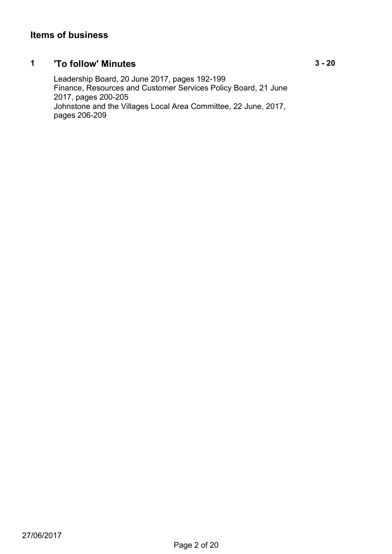# **Items of business**

# **1 'To follow' Minutes**

Leadership Board, 20 June 2017, pages 192-199 Finance, Resources and Customer Services Policy Board, 21 June 2017, pages 200-205 Johnstone and the Villages Local Area Committee, 22 June, 2017, pages 206-209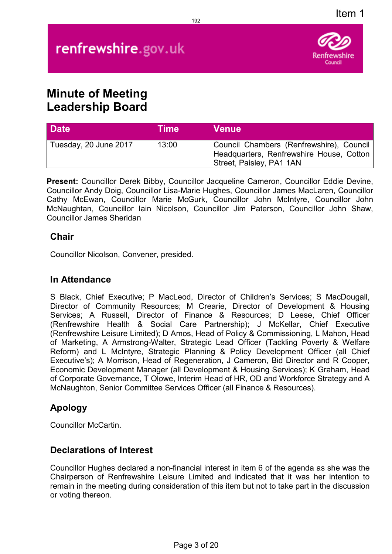# renfrewshire.gov.uk



# **Minute of Meeting Leadership Board**

| <b>Date</b>           | <b>Time</b> | <b>Venue</b>                                                                                                     |
|-----------------------|-------------|------------------------------------------------------------------------------------------------------------------|
| Tuesday, 20 June 2017 | 13:00       | Council Chambers (Renfrewshire), Council<br>Headquarters, Renfrewshire House, Cotton<br>Street, Paisley, PA1 1AN |

**Present:** Councillor Derek Bibby, Councillor Jacqueline Cameron, Councillor Eddie Devine, Councillor Andy Doig, Councillor Lisa-Marie Hughes, Councillor James MacLaren, Councillor Cathy McEwan, Councillor Marie McGurk, Councillor John McIntyre, Councillor John McNaughtan, Councillor Iain Nicolson, Councillor Jim Paterson, Councillor John Shaw, Councillor James Sheridan

# **Chair**

Councillor Nicolson, Convener, presided.

# **In Attendance**

S Black, Chief Executive; P MacLeod, Director of Children's Services; S MacDougall, Director of Community Resources; M Crearie, Director of Development & Housing Services; A Russell, Director of Finance & Resources; D Leese, Chief Officer (Renfrewshire Health & Social Care Partnership); J McKellar, Chief Executive (Renfrewshire Leisure Limited); D Amos, Head of Policy & Commissioning, L Mahon, Head of Marketing, A Armstrong-Walter, Strategic Lead Officer (Tackling Poverty & Welfare Reform) and L McIntyre, Strategic Planning & Policy Development Officer (all Chief Executive's); A Morrison, Head of Regeneration, J Cameron, Bid Director and R Cooper, Economic Development Manager (all Development & Housing Services); K Graham, Head of Corporate Governance, T Olowe, Interim Head of HR, OD and Workforce Strategy and A McNaughton, Senior Committee Services Officer (all Finance & Resources).

# **Apology**

Councillor McCartin.

# **Declarations of Interest**

Councillor Hughes declared a non-financial interest in item 6 of the agenda as she was the Chairperson of Renfrewshire Leisure Limited and indicated that it was her intention to remain in the meeting during consideration of this item but not to take part in the discussion or voting thereon.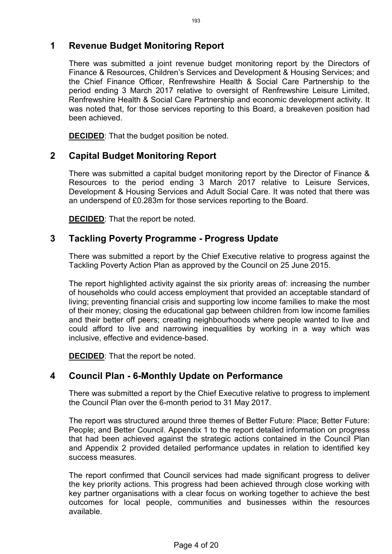# **1 Revenue Budget Monitoring Report**

There was submitted a joint revenue budget monitoring report by the Directors of Finance & Resources, Children's Services and Development & Housing Services; and the Chief Finance Officer, Renfrewshire Health & Social Care Partnership to the period ending 3 March 2017 relative to oversight of Renfrewshire Leisure Limited, Renfrewshire Health & Social Care Partnership and economic development activity. It was noted that, for those services reporting to this Board, a breakeven position had been achieved.

**DECIDED**: That the budget position be noted.

# **2 Capital Budget Monitoring Report**

There was submitted a capital budget monitoring report by the Director of Finance & Resources to the period ending 3 March 2017 relative to Leisure Services, Development & Housing Services and Adult Social Care. It was noted that there was an underspend of £0.283m for those services reporting to the Board.

**DECIDED**: That the report be noted.

# **3 Tackling Poverty Programme - Progress Update**

There was submitted a report by the Chief Executive relative to progress against the Tackling Poverty Action Plan as approved by the Council on 25 June 2015.

The report highlighted activity against the six priority areas of: increasing the number of households who could access employment that provided an acceptable standard of living; preventing financial crisis and supporting low income families to make the most of their money; closing the educational gap between children from low income families and their better off peers; creating neighbourhoods where people wanted to live and could afford to live and narrowing inequalities by working in a way which was inclusive, effective and evidence-based.

**DECIDED**: That the report be noted.

# **4 Council Plan - 6-Monthly Update on Performance**

There was submitted a report by the Chief Executive relative to progress to implement the Council Plan over the 6-month period to 31 May 2017.

The report was structured around three themes of Better Future: Place; Better Future: People; and Better Council. Appendix 1 to the report detailed information on progress that had been achieved against the strategic actions contained in the Council Plan and Appendix 2 provided detailed performance updates in relation to identified key success measures.

The report confirmed that Council services had made significant progress to deliver the key priority actions. This progress had been achieved through close working with key partner organisations with a clear focus on working together to achieve the best outcomes for local people, communities and businesses within the resources available.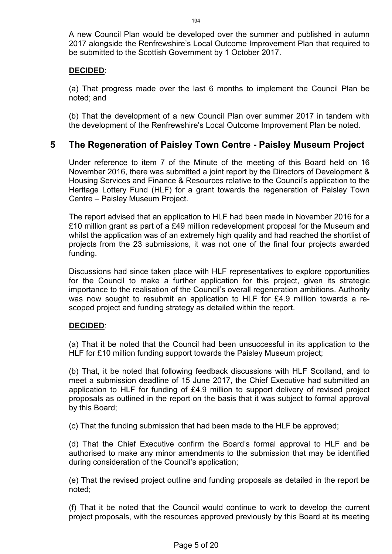A new Council Plan would be developed over the summer and published in autumn 2017 alongside the Renfrewshire's Local Outcome Improvement Plan that required to be submitted to the Scottish Government by 1 October 2017.

#### **DECIDED**:

(a) That progress made over the last 6 months to implement the Council Plan be noted; and

(b) That the development of a new Council Plan over summer 2017 in tandem with the development of the Renfrewshire's Local Outcome Improvement Plan be noted.

# **5 The Regeneration of Paisley Town Centre - Paisley Museum Project**

Under reference to item 7 of the Minute of the meeting of this Board held on 16 November 2016, there was submitted a joint report by the Directors of Development & Housing Services and Finance & Resources relative to the Council's application to the Heritage Lottery Fund (HLF) for a grant towards the regeneration of Paisley Town Centre – Paisley Museum Project.

The report advised that an application to HLF had been made in November 2016 for a £10 million grant as part of a £49 million redevelopment proposal for the Museum and whilst the application was of an extremely high quality and had reached the shortlist of projects from the 23 submissions, it was not one of the final four projects awarded funding.

Discussions had since taken place with HLF representatives to explore opportunities for the Council to make a further application for this project, given its strategic importance to the realisation of the Council's overall regeneration ambitions. Authority was now sought to resubmit an application to HLF for £4.9 million towards a rescoped project and funding strategy as detailed within the report.

#### **DECIDED**:

(a) That it be noted that the Council had been unsuccessful in its application to the HLF for £10 million funding support towards the Paisley Museum project;

(b) That, it be noted that following feedback discussions with HLF Scotland, and to meet a submission deadline of 15 June 2017, the Chief Executive had submitted an application to HLF for funding of £4.9 million to support delivery of revised project proposals as outlined in the report on the basis that it was subject to formal approval by this Board;

(c) That the funding submission that had been made to the HLF be approved;

(d) That the Chief Executive confirm the Board's formal approval to HLF and be authorised to make any minor amendments to the submission that may be identified during consideration of the Council's application;

(e) That the revised project outline and funding proposals as detailed in the report be noted;

(f) That it be noted that the Council would continue to work to develop the current project proposals, with the resources approved previously by this Board at its meeting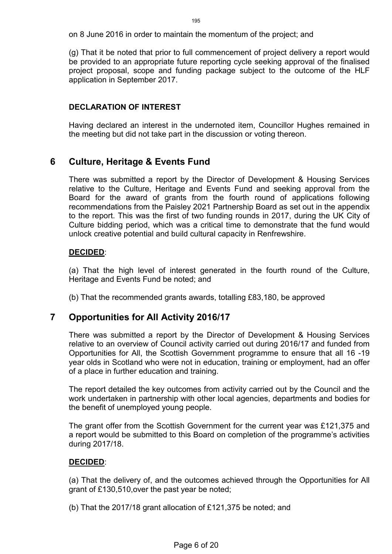on 8 June 2016 in order to maintain the momentum of the project; and

(g) That it be noted that prior to full commencement of project delivery a report would be provided to an appropriate future reporting cycle seeking approval of the finalised project proposal, scope and funding package subject to the outcome of the HLF application in September 2017.

#### **DECLARATION OF INTEREST**

Having declared an interest in the undernoted item, Councillor Hughes remained in the meeting but did not take part in the discussion or voting thereon.

#### **6 Culture, Heritage & Events Fund**

There was submitted a report by the Director of Development & Housing Services relative to the Culture, Heritage and Events Fund and seeking approval from the Board for the award of grants from the fourth round of applications following recommendations from the Paisley 2021 Partnership Board as set out in the appendix to the report. This was the first of two funding rounds in 2017, during the UK City of Culture bidding period, which was a critical time to demonstrate that the fund would unlock creative potential and build cultural capacity in Renfrewshire.

#### **DECIDED**:

(a) That the high level of interest generated in the fourth round of the Culture, Heritage and Events Fund be noted; and

(b) That the recommended grants awards, totalling £83,180, be approved

#### **7 Opportunities for All Activity 2016/17**

There was submitted a report by the Director of Development & Housing Services relative to an overview of Council activity carried out during 2016/17 and funded from Opportunities for All, the Scottish Government programme to ensure that all 16 -19 year olds in Scotland who were not in education, training or employment, had an offer of a place in further education and training.

The report detailed the key outcomes from activity carried out by the Council and the work undertaken in partnership with other local agencies, departments and bodies for the benefit of unemployed young people.

The grant offer from the Scottish Government for the current year was £121,375 and a report would be submitted to this Board on completion of the programme's activities during 2017/18.

#### **DECIDED**:

(a) That the delivery of, and the outcomes achieved through the Opportunities for All grant of £130,510,over the past year be noted;

(b) That the 2017/18 grant allocation of £121,375 be noted; and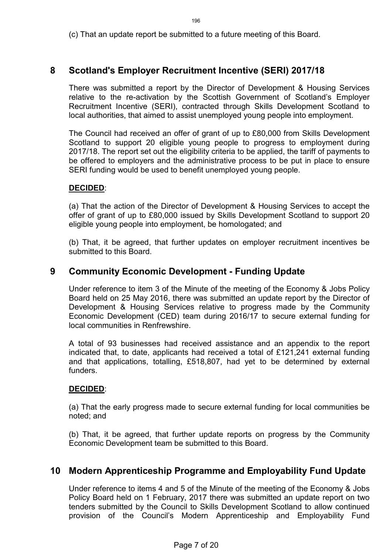(c) That an update report be submitted to a future meeting of this Board.

# **8 Scotland's Employer Recruitment Incentive (SERI) 2017/18**

There was submitted a report by the Director of Development & Housing Services relative to the re-activation by the Scottish Government of Scotland's Employer Recruitment Incentive (SERI), contracted through Skills Development Scotland to local authorities, that aimed to assist unemployed young people into employment.

The Council had received an offer of grant of up to £80,000 from Skills Development Scotland to support 20 eligible young people to progress to employment during 2017/18. The report set out the eligibility criteria to be applied, the tariff of payments to be offered to employers and the administrative process to be put in place to ensure SERI funding would be used to benefit unemployed young people.

#### **DECIDED**:

(a) That the action of the Director of Development & Housing Services to accept the offer of grant of up to £80,000 issued by Skills Development Scotland to support 20 eligible young people into employment, be homologated; and

(b) That, it be agreed, that further updates on employer recruitment incentives be submitted to this Board.

#### **9 Community Economic Development - Funding Update**

Under reference to item 3 of the Minute of the meeting of the Economy & Jobs Policy Board held on 25 May 2016, there was submitted an update report by the Director of Development & Housing Services relative to progress made by the Community Economic Development (CED) team during 2016/17 to secure external funding for local communities in Renfrewshire.

A total of 93 businesses had received assistance and an appendix to the report indicated that, to date, applicants had received a total of £121,241 external funding and that applications, totalling, £518,807, had yet to be determined by external funders.

#### **DECIDED**:

(a) That the early progress made to secure external funding for local communities be noted; and

(b) That, it be agreed, that further update reports on progress by the Community Economic Development team be submitted to this Board.

#### **10 Modern Apprenticeship Programme and Employability Fund Update**

Under reference to items 4 and 5 of the Minute of the meeting of the Economy & Jobs Policy Board held on 1 February, 2017 there was submitted an update report on two tenders submitted by the Council to Skills Development Scotland to allow continued provision of the Council's Modern Apprenticeship and Employability Fund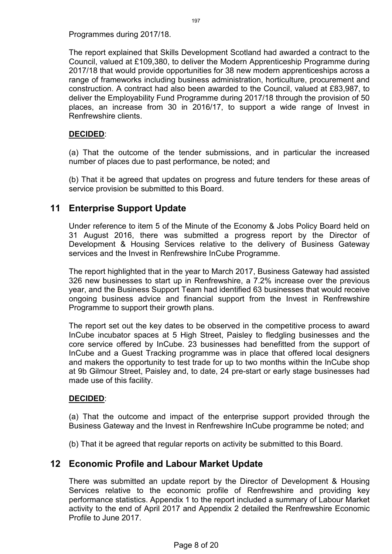Programmes during 2017/18.

The report explained that Skills Development Scotland had awarded a contract to the Council, valued at £109,380, to deliver the Modern Apprenticeship Programme during 2017/18 that would provide opportunities for 38 new modern apprenticeships across a range of frameworks including business administration, horticulture, procurement and construction. A contract had also been awarded to the Council, valued at £83,987, to deliver the Employability Fund Programme during 2017/18 through the provision of 50 places, an increase from 30 in 2016/17, to support a wide range of Invest in Renfrewshire clients.

#### **DECIDED**:

(a) That the outcome of the tender submissions, and in particular the increased number of places due to past performance, be noted; and

(b) That it be agreed that updates on progress and future tenders for these areas of service provision be submitted to this Board.

#### **11 Enterprise Support Update**

Under reference to item 5 of the Minute of the Economy & Jobs Policy Board held on 31 August 2016, there was submitted a progress report by the Director of Development & Housing Services relative to the delivery of Business Gateway services and the Invest in Renfrewshire InCube Programme.

The report highlighted that in the year to March 2017, Business Gateway had assisted 326 new businesses to start up in Renfrewshire, a 7.2% increase over the previous year, and the Business Support Team had identified 63 businesses that would receive ongoing business advice and financial support from the Invest in Renfrewshire Programme to support their growth plans.

The report set out the key dates to be observed in the competitive process to award InCube incubator spaces at 5 High Street, Paisley to fledgling businesses and the core service offered by InCube. 23 businesses had benefitted from the support of InCube and a Guest Tracking programme was in place that offered local designers and makers the opportunity to test trade for up to two months within the InCube shop at 9b Gilmour Street, Paisley and, to date, 24 pre-start or early stage businesses had made use of this facility.

#### **DECIDED**:

(a) That the outcome and impact of the enterprise support provided through the Business Gateway and the Invest in Renfrewshire InCube programme be noted; and

(b) That it be agreed that regular reports on activity be submitted to this Board.

#### **12 Economic Profile and Labour Market Update**

There was submitted an update report by the Director of Development & Housing Services relative to the economic profile of Renfrewshire and providing key performance statistics. Appendix 1 to the report included a summary of Labour Market activity to the end of April 2017 and Appendix 2 detailed the Renfrewshire Economic Profile to June 2017.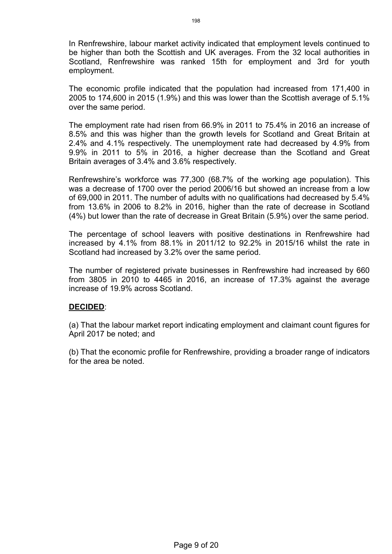In Renfrewshire, labour market activity indicated that employment levels continued to be higher than both the Scottish and UK averages. From the 32 local authorities in Scotland, Renfrewshire was ranked 15th for employment and 3rd for youth employment.

The economic profile indicated that the population had increased from 171,400 in 2005 to 174,600 in 2015 (1.9%) and this was lower than the Scottish average of 5.1% over the same period.

The employment rate had risen from 66.9% in 2011 to 75.4% in 2016 an increase of 8.5% and this was higher than the growth levels for Scotland and Great Britain at 2.4% and 4.1% respectively. The unemployment rate had decreased by 4.9% from 9.9% in 2011 to 5% in 2016, a higher decrease than the Scotland and Great Britain averages of 3.4% and 3.6% respectively.

Renfrewshire's workforce was 77,300 (68.7% of the working age population). This was a decrease of 1700 over the period 2006/16 but showed an increase from a low of 69,000 in 2011. The number of adults with no qualifications had decreased by 5.4% from 13.6% in 2006 to 8.2% in 2016, higher than the rate of decrease in Scotland (4%) but lower than the rate of decrease in Great Britain (5.9%) over the same period.

The percentage of school leavers with positive destinations in Renfrewshire had increased by 4.1% from 88.1% in 2011/12 to 92.2% in 2015/16 whilst the rate in Scotland had increased by 3.2% over the same period.

The number of registered private businesses in Renfrewshire had increased by 660 from 3805 in 2010 to 4465 in 2016, an increase of 17.3% against the average increase of 19.9% across Scotland.

#### **DECIDED**:

(a) That the labour market report indicating employment and claimant count figures for April 2017 be noted; and

(b) That the economic profile for Renfrewshire, providing a broader range of indicators for the area be noted.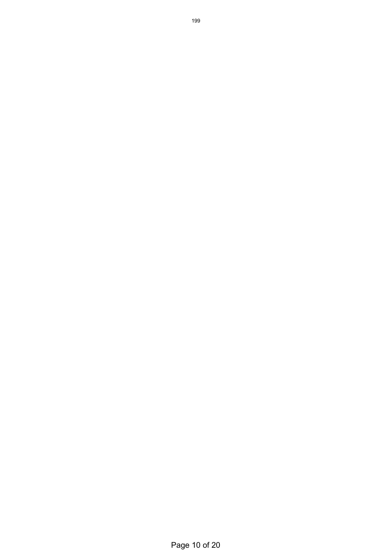199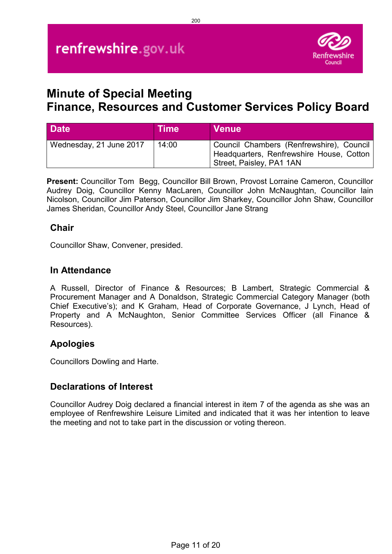# renfrewshire.gov.uk



# **Minute of Special Meeting Finance, Resources and Customer Services Policy Board**

| <b>Date</b>             | <b>Time</b> | <b>Venue</b>                                                                                                     |
|-------------------------|-------------|------------------------------------------------------------------------------------------------------------------|
| Wednesday, 21 June 2017 | 14:00       | Council Chambers (Renfrewshire), Council<br>Headquarters, Renfrewshire House, Cotton<br>Street, Paisley, PA1 1AN |

**Present:** Councillor Tom Begg, Councillor Bill Brown, Provost Lorraine Cameron, Councillor Audrey Doig, Councillor Kenny MacLaren, Councillor John McNaughtan, Councillor Iain Nicolson, Councillor Jim Paterson, Councillor Jim Sharkey, Councillor John Shaw, Councillor James Sheridan, Councillor Andy Steel, Councillor Jane Strang

# **Chair**

Councillor Shaw, Convener, presided.

#### **In Attendance**

A Russell, Director of Finance & Resources; B Lambert, Strategic Commercial & Procurement Manager and A Donaldson, Strategic Commercial Category Manager (both Chief Executive's); and K Graham, Head of Corporate Governance, J Lynch, Head of Property and A McNaughton, Senior Committee Services Officer (all Finance & Resources).

# **Apologies**

Councillors Dowling and Harte.

# **Declarations of Interest**

Councillor Audrey Doig declared a financial interest in item 7 of the agenda as she was an employee of Renfrewshire Leisure Limited and indicated that it was her intention to leave the meeting and not to take part in the discussion or voting thereon.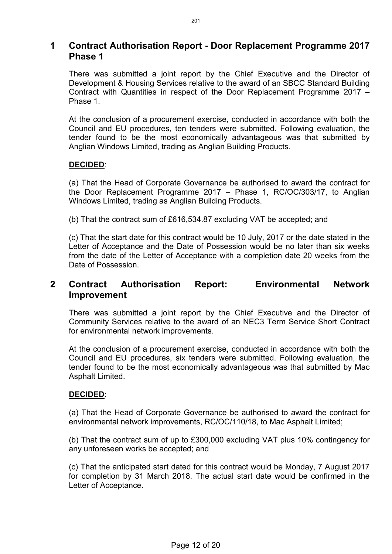## **1 Contract Authorisation Report - Door Replacement Programme 2017 Phase 1**

There was submitted a joint report by the Chief Executive and the Director of Development & Housing Services relative to the award of an SBCC Standard Building Contract with Quantities in respect of the Door Replacement Programme 2017 – Phase 1.

At the conclusion of a procurement exercise, conducted in accordance with both the Council and EU procedures, ten tenders were submitted. Following evaluation, the tender found to be the most economically advantageous was that submitted by Anglian Windows Limited, trading as Anglian Building Products.

#### **DECIDED**:

(a) That the Head of Corporate Governance be authorised to award the contract for the Door Replacement Programme 2017 – Phase 1, RC/OC/303/17, to Anglian Windows Limited, trading as Anglian Building Products.

(b) That the contract sum of £616,534.87 excluding VAT be accepted; and

(c) That the start date for this contract would be 10 July, 2017 or the date stated in the Letter of Acceptance and the Date of Possession would be no later than six weeks from the date of the Letter of Acceptance with a completion date 20 weeks from the Date of Possession.

#### **2 Contract Authorisation Report: Environmental Network Improvement**

There was submitted a joint report by the Chief Executive and the Director of Community Services relative to the award of an NEC3 Term Service Short Contract for environmental network improvements.

At the conclusion of a procurement exercise, conducted in accordance with both the Council and EU procedures, six tenders were submitted. Following evaluation, the tender found to be the most economically advantageous was that submitted by Mac Asphalt Limited.

#### **DECIDED**:

(a) That the Head of Corporate Governance be authorised to award the contract for environmental network improvements, RC/OC/110/18, to Mac Asphalt Limited;

(b) That the contract sum of up to £300,000 excluding VAT plus 10% contingency for any unforeseen works be accepted; and

(c) That the anticipated start dated for this contract would be Monday, 7 August 2017 for completion by 31 March 2018. The actual start date would be confirmed in the Letter of Acceptance.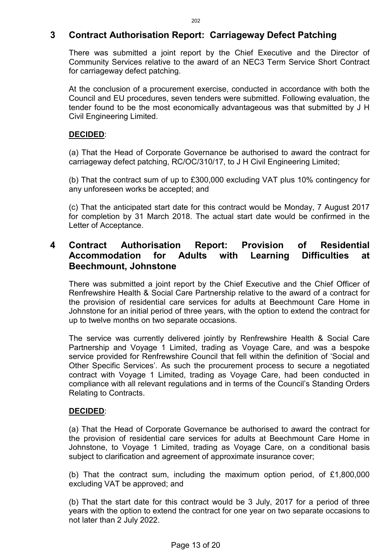# **3 Contract Authorisation Report: Carriageway Defect Patching**

There was submitted a joint report by the Chief Executive and the Director of Community Services relative to the award of an NEC3 Term Service Short Contract for carriageway defect patching.

At the conclusion of a procurement exercise, conducted in accordance with both the Council and EU procedures, seven tenders were submitted. Following evaluation, the tender found to be the most economically advantageous was that submitted by J H Civil Engineering Limited.

#### **DECIDED**:

(a) That the Head of Corporate Governance be authorised to award the contract for carriageway defect patching, RC/OC/310/17, to J H Civil Engineering Limited;

(b) That the contract sum of up to £300,000 excluding VAT plus 10% contingency for any unforeseen works be accepted; and

(c) That the anticipated start date for this contract would be Monday, 7 August 2017 for completion by 31 March 2018. The actual start date would be confirmed in the Letter of Acceptance.

## **4 Contract Authorisation Report: Provision of Residential Accommodation for Adults with Learning Difficulties at Beechmount, Johnstone**

There was submitted a joint report by the Chief Executive and the Chief Officer of Renfrewshire Health & Social Care Partnership relative to the award of a contract for the provision of residential care services for adults at Beechmount Care Home in Johnstone for an initial period of three years, with the option to extend the contract for up to twelve months on two separate occasions.

The service was currently delivered jointly by Renfrewshire Health & Social Care Partnership and Voyage 1 Limited, trading as Voyage Care, and was a bespoke service provided for Renfrewshire Council that fell within the definition of 'Social and Other Specific Services'. As such the procurement process to secure a negotiated contract with Voyage 1 Limited, trading as Voyage Care, had been conducted in compliance with all relevant regulations and in terms of the Council's Standing Orders Relating to Contracts.

#### **DECIDED**:

(a) That the Head of Corporate Governance be authorised to award the contract for the provision of residential care services for adults at Beechmount Care Home in Johnstone, to Voyage 1 Limited, trading as Voyage Care, on a conditional basis subject to clarification and agreement of approximate insurance cover;

(b) That the contract sum, including the maximum option period, of £1,800,000 excluding VAT be approved; and

(b) That the start date for this contract would be 3 July, 2017 for a period of three years with the option to extend the contract for one year on two separate occasions to not later than 2 July 2022.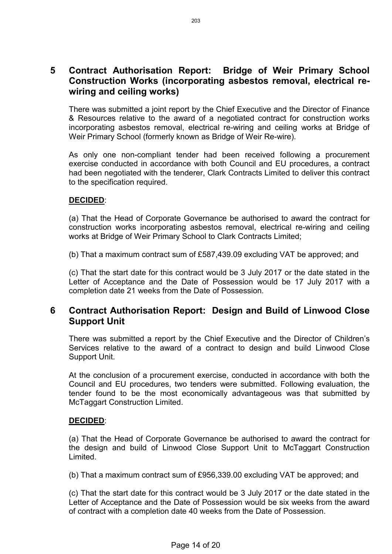# **5 Contract Authorisation Report: Bridge of Weir Primary School Construction Works (incorporating asbestos removal, electrical rewiring and ceiling works)**

There was submitted a joint report by the Chief Executive and the Director of Finance & Resources relative to the award of a negotiated contract for construction works incorporating asbestos removal, electrical re-wiring and ceiling works at Bridge of Weir Primary School (formerly known as Bridge of Weir Re-wire).

As only one non-compliant tender had been received following a procurement exercise conducted in accordance with both Council and EU procedures, a contract had been negotiated with the tenderer, Clark Contracts Limited to deliver this contract to the specification required.

#### **DECIDED**:

(a) That the Head of Corporate Governance be authorised to award the contract for construction works incorporating asbestos removal, electrical re-wiring and ceiling works at Bridge of Weir Primary School to Clark Contracts Limited;

(b) That a maximum contract sum of £587,439.09 excluding VAT be approved; and

(c) That the start date for this contract would be 3 July 2017 or the date stated in the Letter of Acceptance and the Date of Possession would be 17 July 2017 with a completion date 21 weeks from the Date of Possession.

#### **6 Contract Authorisation Report: Design and Build of Linwood Close Support Unit**

There was submitted a report by the Chief Executive and the Director of Children's Services relative to the award of a contract to design and build Linwood Close Support Unit.

At the conclusion of a procurement exercise, conducted in accordance with both the Council and EU procedures, two tenders were submitted. Following evaluation, the tender found to be the most economically advantageous was that submitted by McTaggart Construction Limited.

#### **DECIDED**:

(a) That the Head of Corporate Governance be authorised to award the contract for the design and build of Linwood Close Support Unit to McTaggart Construction Limited.

(b) That a maximum contract sum of £956,339.00 excluding VAT be approved; and

(c) That the start date for this contract would be 3 July 2017 or the date stated in the Letter of Acceptance and the Date of Possession would be six weeks from the award of contract with a completion date 40 weeks from the Date of Possession.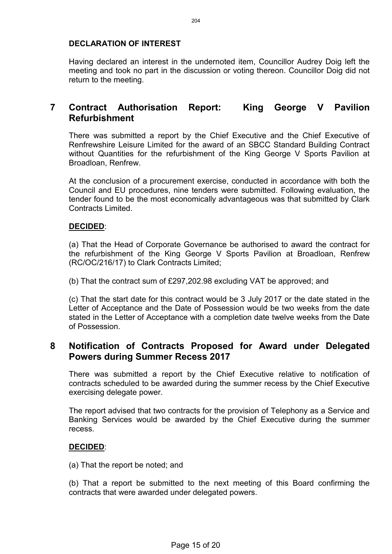#### **DECLARATION OF INTEREST**

Having declared an interest in the undernoted item, Councillor Audrey Doig left the meeting and took no part in the discussion or voting thereon. Councillor Doig did not return to the meeting.

# **7 Contract Authorisation Report: King George V Pavilion Refurbishment**

There was submitted a report by the Chief Executive and the Chief Executive of Renfrewshire Leisure Limited for the award of an SBCC Standard Building Contract without Quantities for the refurbishment of the King George V Sports Pavilion at Broadloan, Renfrew.

At the conclusion of a procurement exercise, conducted in accordance with both the Council and EU procedures, nine tenders were submitted. Following evaluation, the tender found to be the most economically advantageous was that submitted by Clark Contracts Limited.

#### **DECIDED**:

(a) That the Head of Corporate Governance be authorised to award the contract for the refurbishment of the King George V Sports Pavilion at Broadloan, Renfrew (RC/OC/216/17) to Clark Contracts Limited;

(b) That the contract sum of £297,202.98 excluding VAT be approved; and

(c) That the start date for this contract would be 3 July 2017 or the date stated in the Letter of Acceptance and the Date of Possession would be two weeks from the date stated in the Letter of Acceptance with a completion date twelve weeks from the Date of Possession.

#### **8 Notification of Contracts Proposed for Award under Delegated Powers during Summer Recess 2017**

There was submitted a report by the Chief Executive relative to notification of contracts scheduled to be awarded during the summer recess by the Chief Executive exercising delegate power.

The report advised that two contracts for the provision of Telephony as a Service and Banking Services would be awarded by the Chief Executive during the summer recess.

#### **DECIDED**:

(a) That the report be noted; and

(b) That a report be submitted to the next meeting of this Board confirming the contracts that were awarded under delegated powers.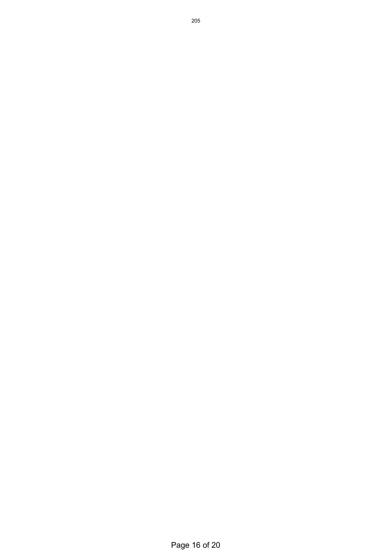205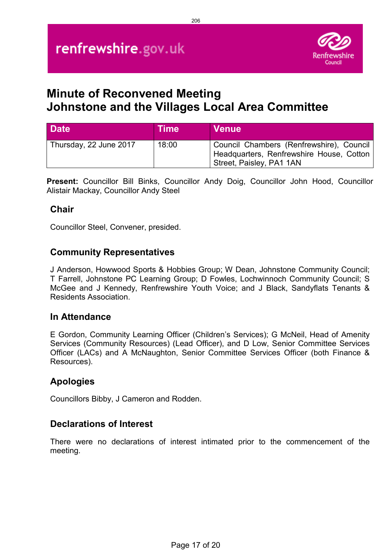# renfrewshire.gov.uk



# **Minute of Reconvened Meeting Johnstone and the Villages Local Area Committee**

| <b>Date</b>            | <b>Time</b> | <b>Venue</b>                                                                                                       |
|------------------------|-------------|--------------------------------------------------------------------------------------------------------------------|
| Thursday, 22 June 2017 | 18:00       | Council Chambers (Renfrewshire), Council  <br>Headquarters, Renfrewshire House, Cotton<br>Street, Paisley, PA1 1AN |

**Present:** Councillor Bill Binks, Councillor Andy Doig, Councillor John Hood, Councillor Alistair Mackay, Councillor Andy Steel

#### **Chair**

Councillor Steel, Convener, presided.

#### **Community Representatives**

J Anderson, Howwood Sports & Hobbies Group; W Dean, Johnstone Community Council; T Farrell, Johnstone PC Learning Group; D Fowles, Lochwinnoch Community Council; S McGee and J Kennedy, Renfrewshire Youth Voice; and J Black, Sandyflats Tenants & Residents Association.

#### **In Attendance**

E Gordon, Community Learning Officer (Children's Services); G McNeil, Head of Amenity Services (Community Resources) (Lead Officer), and D Low, Senior Committee Services Officer (LACs) and A McNaughton, Senior Committee Services Officer (both Finance & Resources).

#### **Apologies**

Councillors Bibby, J Cameron and Rodden.

#### **Declarations of Interest**

There were no declarations of interest intimated prior to the commencement of the meeting.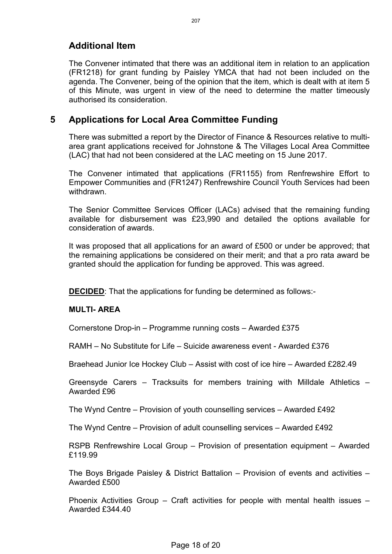# **Additional Item**

The Convener intimated that there was an additional item in relation to an application (FR1218) for grant funding by Paisley YMCA that had not been included on the agenda. The Convener, being of the opinion that the item, which is dealt with at item 5 of this Minute, was urgent in view of the need to determine the matter timeously authorised its consideration.

# **5 Applications for Local Area Committee Funding**

There was submitted a report by the Director of Finance & Resources relative to multiarea grant applications received for Johnstone & The Villages Local Area Committee (LAC) that had not been considered at the LAC meeting on 15 June 2017.

The Convener intimated that applications (FR1155) from Renfrewshire Effort to Empower Communities and (FR1247) Renfrewshire Council Youth Services had been withdrawn.

The Senior Committee Services Officer (LACs) advised that the remaining funding available for disbursement was £23,990 and detailed the options available for consideration of awards.

It was proposed that all applications for an award of £500 or under be approved; that the remaining applications be considered on their merit; and that a pro rata award be granted should the application for funding be approved. This was agreed.

**DECIDED**: That the applications for funding be determined as follows:-

#### **MULTI- AREA**

Cornerstone Drop-in – Programme running costs – Awarded £375

RAMH – No Substitute for Life – Suicide awareness event - Awarded £376

Braehead Junior Ice Hockey Club – Assist with cost of ice hire – Awarded £282.49

Greensyde Carers – Tracksuits for members training with Milldale Athletics – Awarded £96

The Wynd Centre – Provision of youth counselling services – Awarded £492

The Wynd Centre – Provision of adult counselling services – Awarded £492

RSPB Renfrewshire Local Group – Provision of presentation equipment – Awarded £119.99

The Boys Brigade Paisley & District Battalion – Provision of events and activities – Awarded £500

Phoenix Activities Group – Craft activities for people with mental health issues – Awarded £344.40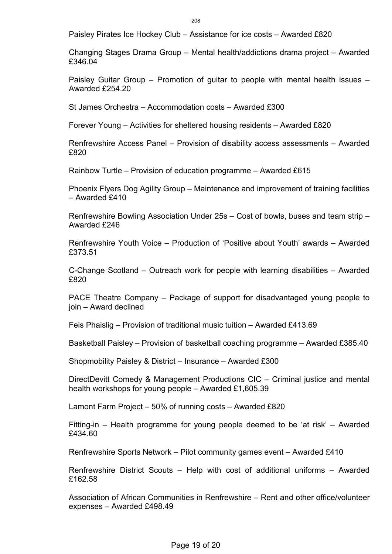Paisley Pirates Ice Hockey Club – Assistance for ice costs – Awarded £820

Changing Stages Drama Group – Mental health/addictions drama project – Awarded £346.04

Paisley Guitar Group – Promotion of guitar to people with mental health issues – Awarded £254.20

St James Orchestra – Accommodation costs – Awarded £300

Forever Young – Activities for sheltered housing residents – Awarded £820

Renfrewshire Access Panel – Provision of disability access assessments – Awarded £820

Rainbow Turtle – Provision of education programme – Awarded £615

Phoenix Flyers Dog Agility Group – Maintenance and improvement of training facilities – Awarded £410

Renfrewshire Bowling Association Under 25s – Cost of bowls, buses and team strip – Awarded £246

Renfrewshire Youth Voice – Production of 'Positive about Youth' awards – Awarded £373.51

C-Change Scotland – Outreach work for people with learning disabilities – Awarded £820

PACE Theatre Company – Package of support for disadvantaged young people to join – Award declined

Feis Phaislig – Provision of traditional music tuition – Awarded £413.69

Basketball Paisley – Provision of basketball coaching programme – Awarded £385.40

Shopmobility Paisley & District – Insurance – Awarded £300

DirectDevitt Comedy & Management Productions CIC – Criminal justice and mental health workshops for young people – Awarded £1,605.39

Lamont Farm Project – 50% of running costs – Awarded £820

Fitting-in – Health programme for young people deemed to be 'at risk' – Awarded £434.60

Renfrewshire Sports Network – Pilot community games event – Awarded £410

Renfrewshire District Scouts – Help with cost of additional uniforms – Awarded £162.58

Association of African Communities in Renfrewshire – Rent and other office/volunteer expenses – Awarded £498.49